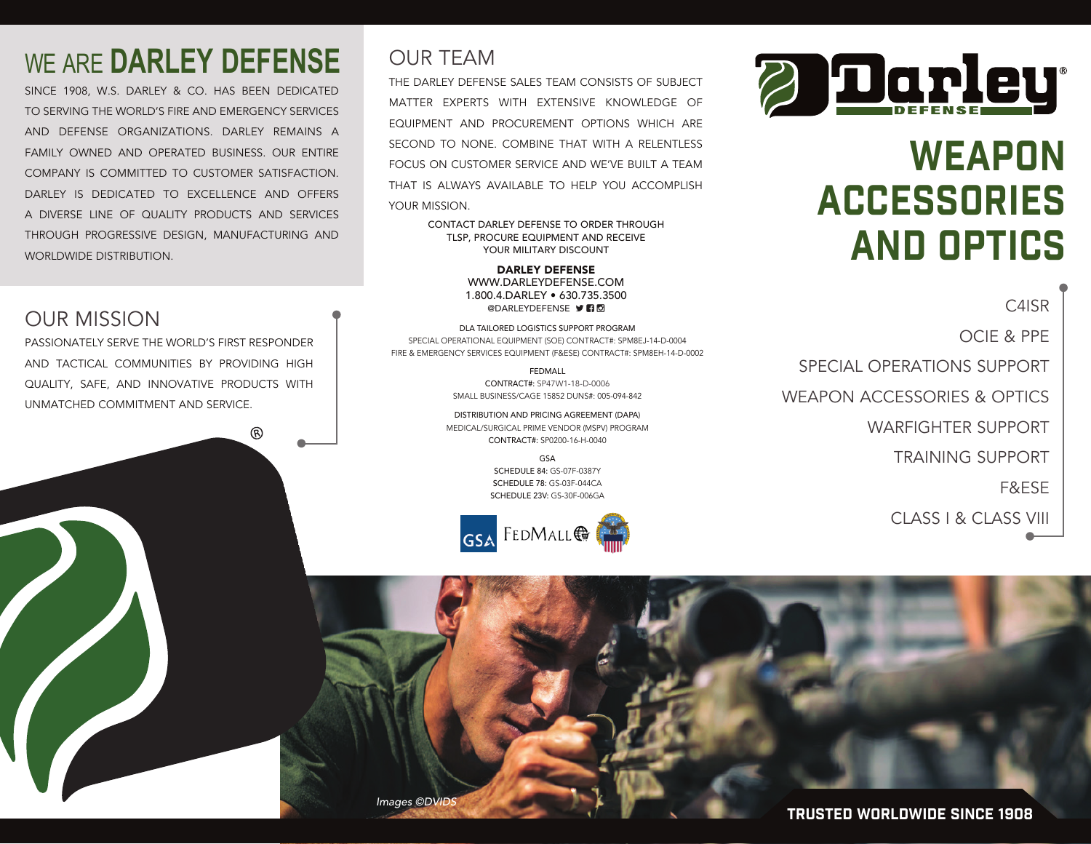### WE ARE **DARLEY DEFENSE**

SINCE 1908, W.S. DARLEY & CO. HAS BEEN DEDICATED TO SERVING THE WORLD'S FIRE AND EMERGENCY SERVICES AND DEFENSE ORGANIZATIONS. DARLEY REMAINS A FAMILY OWNED AND OPERATED BUSINESS. OUR ENTIRE COMPANY IS COMMITTED TO CUSTOMER SATISFACTION. DARLEY IS DEDICATED TO EXCELLENCE AND OFFERS A DIVERSE LINE OF QUALITY PRODUCTS AND SERVICES THROUGH PROGRESSIVE DESIGN, MANUFACTURING AND WORLDWIDE DISTRIBUTION.

#### OUR MISSION

PASSIONATELY SERVE THE WORLD'S FIRST RESPONDER AND TACTICAL COMMUNITIES BY PROVIDING HIGH QUALITY, SAFE, AND INNOVATIVE PRODUCTS WITH UNMATCHED COMMITMENT AND SERVICE.

൫

#### OUR TEAM

THE DARLEY DEFENSE SALES TEAM CONSISTS OF SUBJECT MATTER EXPERTS WITH EXTENSIVE KNOWLEDGE OF EQUIPMENT AND PROCUREMENT OPTIONS WHICH ARE SECOND TO NONE. COMBINE THAT WITH A RELENTLESS FOCUS ON CUSTOMER SERVICE AND WE'VE BUILT A TEAM THAT IS ALWAYS AVAILABLE TO HELP YOU ACCOMPLISH YOUR MISSION.

> CONTACT DARLEY DEFENSE TO ORDER THROUGH TLSP, PROCURE EQUIPMENT AND RECEIVE YOUR MILITARY DISCOUNT

> > DARLEY DEFENSE WWW.DARLEYDEFENSE.COM 1.800.4.DARLEY • 630.735.3500 **@DARLEYDEFENSE DRI**

DLA TAILORED LOGISTICS SUPPORT PROGRAM SPECIAL OPERATIONAL EQUIPMENT (SOE) CONTRACT#: SPM8EJ-14-D-0004 FIRE & EMERGENCY SERVICES EQUIPMENT (F&ESE) CONTRACT#: SPM8EH-14-D-0002

> FEDMALL CONTRACT#: SP47W1-18-D-0006 SMALL BUSINESS/CAGE 15852 DUNS#: 005-094-842

DISTRIBUTION AND PRICING AGREEMENT (DAPA) MEDICAL/SURGICAL PRIME VENDOR (MSPV) PROGRAM CONTRACT#: SP0200-16-H-0040

> GSA SCHEDULE 84: GS-07F-0387Y SCHEDULE 78: GS-03F-044CA SCHEDULE 23V: GS-30F-006GA





## WEAPON ACCESSORIES AND OPTICS

C4ISR OCIE & PPE SPECIAL OPERATIONS SUPPORT WEAPON ACCESSORIES & OPTICS WARFIGHTER SUPPORT TRAINING SUPPORT F&ESE CLASS I & CLASS VIII